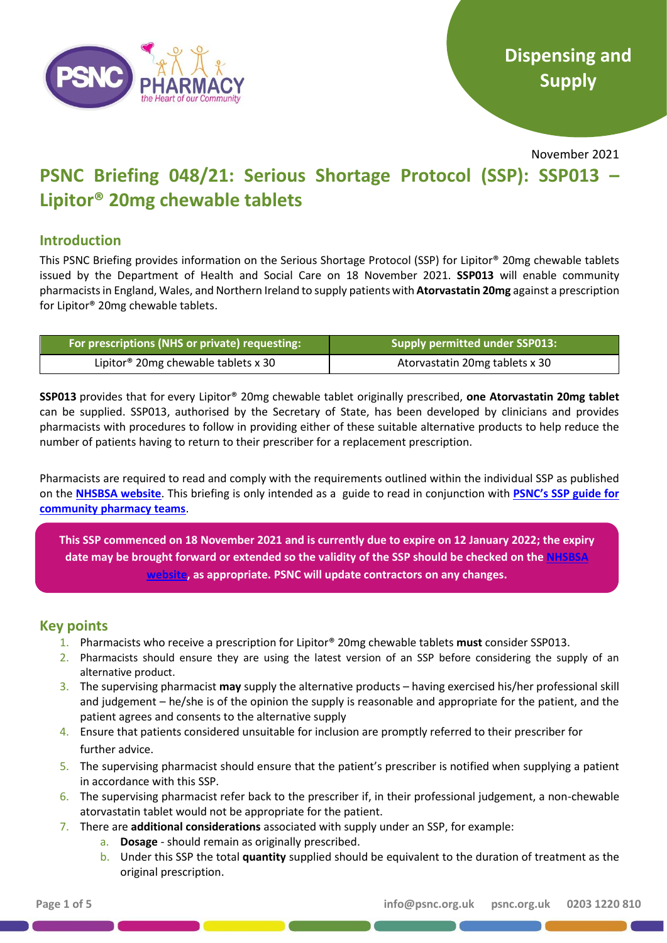

November 2021

# **PSNC Briefing 048/21: Serious Shortage Protocol (SSP): SSP013 – Lipitor® 20mg chewable tablets**

# **Introduction**

This PSNC Briefing provides information on the Serious Shortage Protocol (SSP) for Lipitor® 20mg chewable tablets issued by the Department of Health and Social Care on 18 November 2021. **SSP013** will enable community pharmacists in England, Wales, and Northern Ireland to supply patients with **Atorvastatin 20mg** against a prescription for Lipitor® 20mg chewable tablets.

| For prescriptions (NHS or private) requesting: 1 | Supply permitted under SSP013: |
|--------------------------------------------------|--------------------------------|
| Lipitor <sup>®</sup> 20mg chewable tablets x 30  | Atorvastatin 20mg tablets x 30 |

**SSP013** provides that for every Lipitor® 20mg chewable tablet originally prescribed, **one Atorvastatin 20mg tablet** can be supplied. SSP013, authorised by the Secretary of State, has been developed by clinicians and provides pharmacists with procedures to follow in providing either of these suitable alternative products to help reduce the number of patients having to return to their prescriber for a replacement prescription.

Pharmacists are required to read and comply with the requirements outlined within the individual SSP as published on the **[NHSBSA website](https://www.nhsbsa.nhs.uk/pharmacies-gp-practices-and-appliance-contractors/serious-shortage-protocols-ssps)**. This briefing is only intended as a guide to read in conjunction with **[PSNC's SSP guide for](https://psnc.org.uk/wp-content/uploads/2019/08/PSNC-Briefing-023.19-Serious-Shortage-Protocols-FINAL-PUBLISHED-v2.0.pdf)  [community pharmacy teams](https://psnc.org.uk/wp-content/uploads/2019/08/PSNC-Briefing-023.19-Serious-Shortage-Protocols-FINAL-PUBLISHED-v2.0.pdf)**.

**This SSP commenced on 18 November 2021 and is currently due to expire on 12 January 2022; the expiry date may be brought forward or extended so the validity of the SSP should be checked on the [NHSBSA](https://www.nhsbsa.nhs.uk/pharmacies-gp-practices-and-appliance-contractors/serious-shortage-protocols-ssps)  [website,](https://www.nhsbsa.nhs.uk/pharmacies-gp-practices-and-appliance-contractors/serious-shortage-protocols-ssps) as appropriate. PSNC will update contractors on any changes.**

# **Key points**

- 1. Pharmacists who receive a prescription for Lipitor® 20mg chewable tablets **must** consider SSP013.
- 2. Pharmacists should ensure they are using the latest version of an SSP before considering the supply of an alternative product.
- 3. The supervising pharmacist **may** supply the alternative products having exercised his/her professional skill and judgement – he/she is of the opinion the supply is reasonable and appropriate for the patient, and the patient agrees and consents to the alternative supply
- 4. Ensure that patients considered unsuitable for inclusion are promptly referred to their prescriber for further advice.
- 5. The supervising pharmacist should ensure that the patient's prescriber is notified when supplying a patient in accordance with this SSP.
- 6. The supervising pharmacist refer back to the prescriber if, in their professional judgement, a non-chewable atorvastatin tablet would not be appropriate for the patient.
- 7. There are **additional considerations** associated with supply under an SSP, for example:
	- a. **Dosage** should remain as originally prescribed.
	- b. Under this SSP the total **quantity** supplied should be equivalent to the duration of treatment as the original prescription.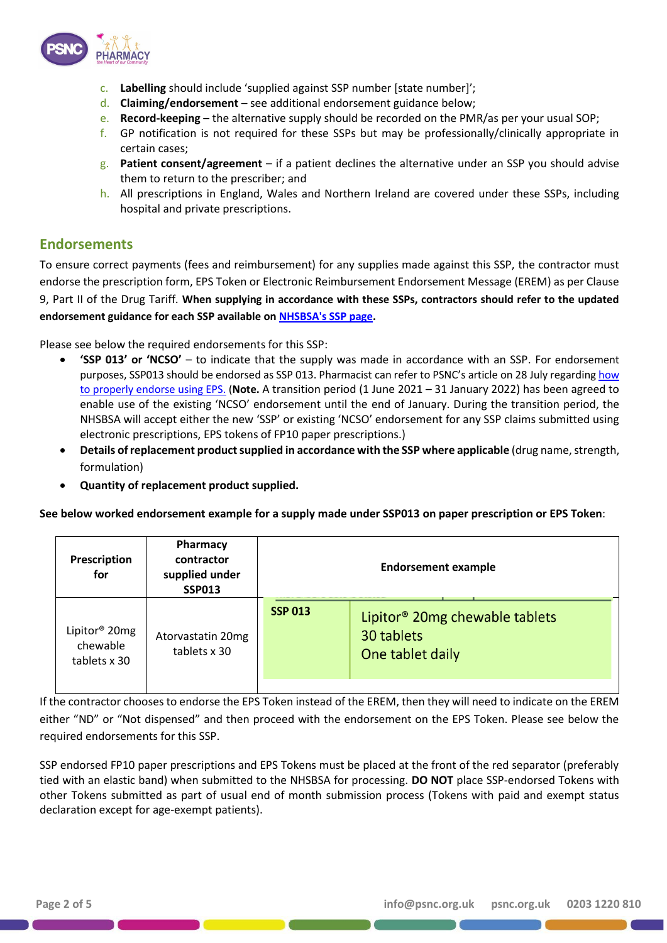

- c. **Labelling** should include 'supplied against SSP number [state number]';
- d. **Claiming/endorsement** see additional endorsement guidance below;
- e. **Record-keeping** the alternative supply should be recorded on the PMR/as per your usual SOP;
- f. GP notification is not required for these SSPs but may be professionally/clinically appropriate in certain cases;
- g. **Patient consent/agreement** if a patient declines the alternative under an SSP you should advise them to return to the prescriber; and
- h. All prescriptions in England, Wales and Northern Ireland are covered under these SSPs, including hospital and private prescriptions.

## **Endorsements**

To ensure correct payments (fees and reimbursement) for any supplies made against this SSP, the contractor must endorse the prescription form, EPS Token or Electronic Reimbursement Endorsement Message (EREM) as per Clause 9, Part II of the Drug Tariff. **When supplying in accordance with these SSPs, contractors should refer to the updated endorsement guidance for each SSP available on [NHSBSA's SSP page.](https://www.nhsbsa.nhs.uk/pharmacies-gp-practices-and-appliance-contractors/serious-shortage-protocols-ssps)**

Please see below the required endorsements for this SSP:

- **'SSP 013' or 'NCSO'** to indicate that the supply was made in accordance with an SSP. For endorsement purposes, SSP013 should be endorsed as SSP 013. Pharmacist can refer to PSNC's article on 28 July regardin[g how](https://psnc.org.uk/our-news/contractor-notice-ssp-endorsement-errors-2/)  [to properly endorse using EPS.](https://psnc.org.uk/our-news/contractor-notice-ssp-endorsement-errors-2/) (**Note.** A transition period (1 June 2021 – 31 January 2022) has been agreed to enable use of the existing 'NCSO' endorsement until the end of January. During the transition period, the NHSBSA will accept either the new 'SSP' or existing 'NCSO' endorsement for any SSP claims submitted using electronic prescriptions, EPS tokens of FP10 paper prescriptions.)
- **Details of replacement product supplied in accordance with the SSP where applicable** (drug name, strength, formulation)
- **Quantity of replacement product supplied.**

**See below worked endorsement example for a supply made under SSP013 on paper prescription or EPS Token**:

| Prescription<br>for                                   | Pharmacy<br>contractor<br>supplied under<br><b>SSP013</b> | <b>Endorsement example</b> |                                                                              |
|-------------------------------------------------------|-----------------------------------------------------------|----------------------------|------------------------------------------------------------------------------|
| Lipitor <sup>®</sup> 20mg<br>chewable<br>tablets x 30 | Atorvastatin 20mg<br>tablets x 30                         | <b>SSP 013</b>             | Lipitor <sup>®</sup> 20mg chewable tablets<br>30 tablets<br>One tablet daily |

If the contractor chooses to endorse the EPS Token instead of the EREM, then they will need to indicate on the EREM either "ND" or "Not dispensed" and then proceed with the endorsement on the EPS Token. Please see below the required endorsements for this SSP.

SSP endorsed FP10 paper prescriptions and EPS Tokens must be placed at the front of the red separator (preferably tied with an elastic band) when submitted to the NHSBSA for processing. **DO NOT** place SSP-endorsed Tokens with other Tokens submitted as part of usual end of month submission process (Tokens with paid and exempt status declaration except for age-exempt patients).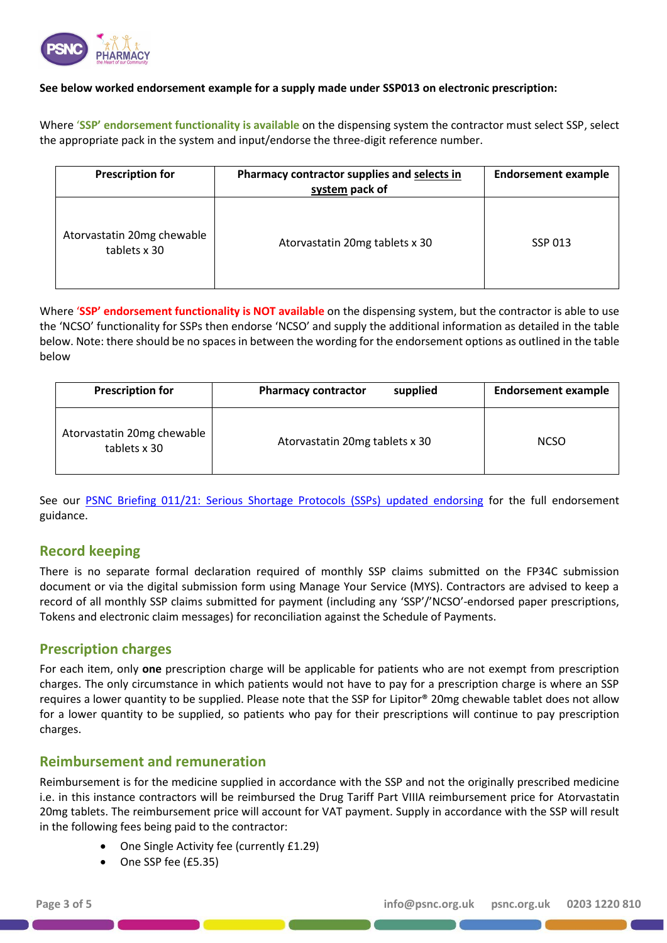

#### **See below worked endorsement example for a supply made under SSP013 on electronic prescription:**

Where '**SSP' endorsement functionality is available** on the dispensing system the contractor must select SSP, select the appropriate pack in the system and input/endorse the three-digit reference number.

| <b>Prescription for</b>                    | Pharmacy contractor supplies and selects in<br>system pack of | <b>Endorsement example</b> |
|--------------------------------------------|---------------------------------------------------------------|----------------------------|
| Atorvastatin 20mg chewable<br>tablets x 30 | Atorvastatin 20mg tablets x 30                                | SSP 013                    |

Where '**SSP' endorsement functionality is NOT available** on the dispensing system, but the contractor is able to use the 'NCSO' functionality for SSPs then endorse 'NCSO' and supply the additional information as detailed in the table below. Note: there should be no spaces in between the wording for the endorsement options as outlined in the table below

| <b>Prescription for</b>                    | supplied<br><b>Pharmacy contractor</b> | <b>Endorsement example</b> |
|--------------------------------------------|----------------------------------------|----------------------------|
| Atorvastatin 20mg chewable<br>tablets x 30 | Atorvastatin 20mg tablets x 30         | <b>NCSO</b>                |

See our [PSNC Briefing 011/21: Serious Shortage Protocols \(SSPs\) updated endorsing](https://psnc.org.uk/wp-content/uploads/2021/05/PSNC-Briefing-011.21-Serious-Shortage-Protocols-SSPs-updated-endorsing-guidance.pdf) for the full endorsement guidance.

## **Record keeping**

There is no separate formal declaration required of monthly SSP claims submitted on the FP34C submission document or via the digital submission form using Manage Your Service (MYS). Contractors are advised to keep a record of all monthly SSP claims submitted for payment (including any 'SSP'/'NCSO'-endorsed paper prescriptions, Tokens and electronic claim messages) for reconciliation against the Schedule of Payments.

## **Prescription charges**

For each item, only **one** prescription charge will be applicable for patients who are not exempt from prescription charges. The only circumstance in which patients would not have to pay for a prescription charge is where an SSP requires a lower quantity to be supplied. Please note that the SSP for Lipitor® 20mg chewable tablet does not allow for a lower quantity to be supplied, so patients who pay for their prescriptions will continue to pay prescription charges.

## **Reimbursement and remuneration**

Reimbursement is for the medicine supplied in accordance with the SSP and not the originally prescribed medicine i.e. in this instance contractors will be reimbursed the Drug Tariff Part VIIIA reimbursement price for Atorvastatin 20mg tablets. The reimbursement price will account for VAT payment. Supply in accordance with the SSP will result in the following fees being paid to the contractor:

- One Single Activity fee (currently £1.29)
- One SSP fee (£5.35)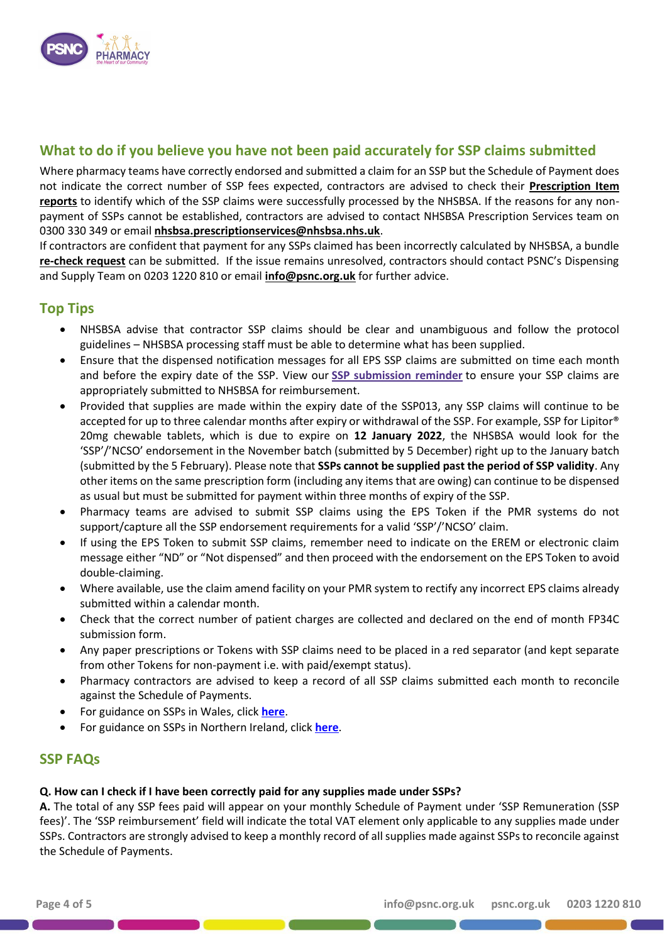

# **What to do if you believe you have not been paid accurately for SSP claims submitted**

Where pharmacy teams have correctly endorsed and submitted a claim for an SSP but the Schedule of Payment does not indicate the correct number of SSP fees expected, contractors are advised to check their **[Prescription Item](https://www.nhsbsa.nhs.uk/information-services-portal-isp)  [reports](https://www.nhsbsa.nhs.uk/information-services-portal-isp)** to identify which of the SSP claims were successfully processed by the NHSBSA. If the reasons for any nonpayment of SSPs cannot be established, contractors are advised to contact NHSBSA Prescription Services team on 0300 330 349 or email **[nhsbsa.prescriptionservices@nhsbsa.nhs.uk](mailto:nhsbsa.prescriptionservices@nhsbsa.nhs.uk)**.

If contractors are confident that payment for any SSPs claimed has been incorrectly calculated by NHSBSA, a bundle **[re-check request](https://www.nhsbsa.nhs.uk/pharmacies-gp-practices-and-appliance-contractors/drug-tariff/drug-tariff-part-xiv)** can be submitted. If the issue remains unresolved, contractors should contact PSNC's Dispensing and Supply Team on 0203 1220 810 or email **[info@psnc.org.uk](mailto:info@psnc.org.uk)** for further advice.

## **Top Tips**

- NHSBSA advise that contractor SSP claims should be clear and unambiguous and follow the protocol guidelines – NHSBSA processing staff must be able to determine what has been supplied.
- Ensure that the dispensed notification messages for all EPS SSP claims are submitted on time each month and before the expiry date of the SSP. View our **[SSP submission reminder](https://psnc.org.uk/our-news/contractor-notice-ssp-submission-reminder/)** to ensure your SSP claims are appropriately submitted to NHSBSA for reimbursement.
- Provided that supplies are made within the expiry date of the SSP013, any SSP claims will continue to be accepted for up to three calendar months after expiry or withdrawal of the SSP. For example, SSP for Lipitor® 20mg chewable tablets, which is due to expire on **12 January 2022**, the NHSBSA would look for the 'SSP'/'NCSO' endorsement in the November batch (submitted by 5 December) right up to the January batch (submitted by the 5 February). Please note that **SSPs cannot be supplied past the period of SSP validity**. Any other items on the same prescription form (including any items that are owing) can continue to be dispensed as usual but must be submitted for payment within three months of expiry of the SSP.
- Pharmacy teams are advised to submit SSP claims using the EPS Token if the PMR systems do not support/capture all the SSP endorsement requirements for a valid 'SSP'/'NCSO' claim.
- If using the EPS Token to submit SSP claims, remember need to indicate on the EREM or electronic claim message either "ND" or "Not dispensed" and then proceed with the endorsement on the EPS Token to avoid double-claiming.
- Where available, use the claim amend facility on your PMR system to rectify any incorrect EPS claims already submitted within a calendar month.
- Check that the correct number of patient charges are collected and declared on the end of month FP34C submission form.
- Any paper prescriptions or Tokens with SSP claims need to be placed in a red separator (and kept separate from other Tokens for non-payment i.e. with paid/exempt status).
- Pharmacy contractors are advised to keep a record of all SSP claims submitted each month to reconcile against the Schedule of Payments.
- For guidance on SSPs in Wales, click **[here](http://www.cpwales.org.uk/getattachment/Dispensing-and-supply/Medicines-Shortages/SSP-NHS-Wales-Operational-Guidance-2019.pdf.aspx?lang=en-GB)**.
- For guidance on SSPs in Northern Ireland, click **[here](https://www.communitypharmacyni.co.uk/2019/11/ssp-guidance-issued/)**.

## **SSP FAQs**

#### **Q. How can I check if I have been correctly paid for any supplies made under SSPs?**

**A.** The total of any SSP fees paid will appear on your monthly Schedule of Payment under 'SSP Remuneration (SSP fees)'. The 'SSP reimbursement' field will indicate the total VAT element only applicable to any supplies made under SSPs. Contractors are strongly advised to keep a monthly record of all supplies made against SSPs to reconcile against the Schedule of Payments.